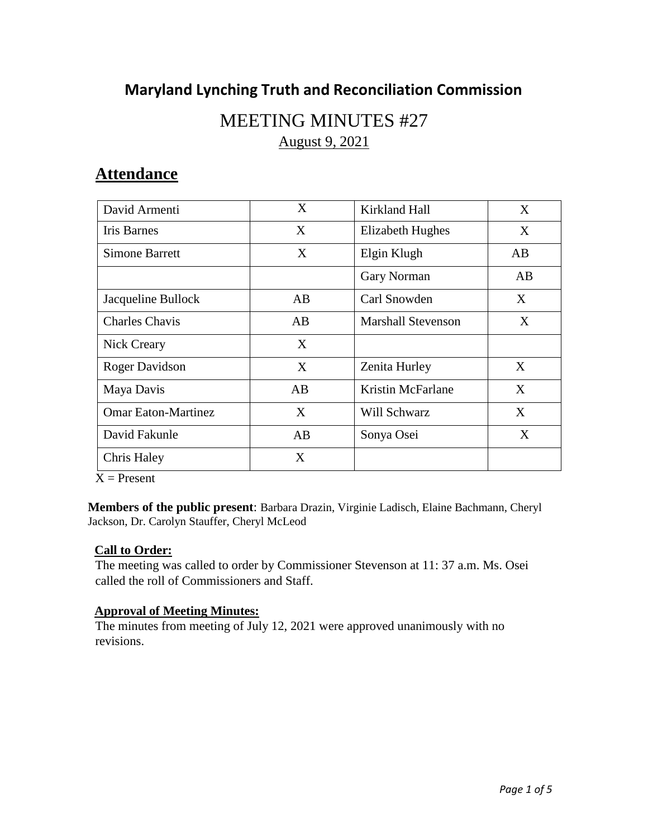## **Maryland Lynching Truth and Reconciliation Commission**

# MEETING MINUTES #27 August 9, 2021

## **Attendance**

| David Armenti              | X   | Kirkland Hall             | X  |
|----------------------------|-----|---------------------------|----|
| Iris Barnes                | X   | Elizabeth Hughes          | X  |
| <b>Simone Barrett</b>      | X   | Elgin Klugh               | AB |
|                            |     | Gary Norman               | AB |
| Jacqueline Bullock         | AB. | Carl Snowden              | X  |
| <b>Charles Chavis</b>      | AB  | <b>Marshall Stevenson</b> | X  |
| Nick Creary                | X   |                           |    |
| Roger Davidson             | X   | Zenita Hurley             | X  |
| Maya Davis                 | AB  | <b>Kristin McFarlane</b>  | X  |
| <b>Omar Eaton-Martinez</b> | X   | Will Schwarz              | X  |
| David Fakunle              | AB  | Sonya Osei                | X  |
| <b>Chris Haley</b>         | X   |                           |    |

 $X =$  Present

**Members of the public present**: Barbara Drazin, Virginie Ladisch, Elaine Bachmann, Cheryl Jackson, Dr. Carolyn Stauffer, Cheryl McLeod

### **Call to Order:**

The meeting was called to order by Commissioner Stevenson at 11: 37 a.m. Ms. Osei called the roll of Commissioners and Staff.

### **Approval of Meeting Minutes:**

The minutes from meeting of July 12, 2021 were approved unanimously with no revisions.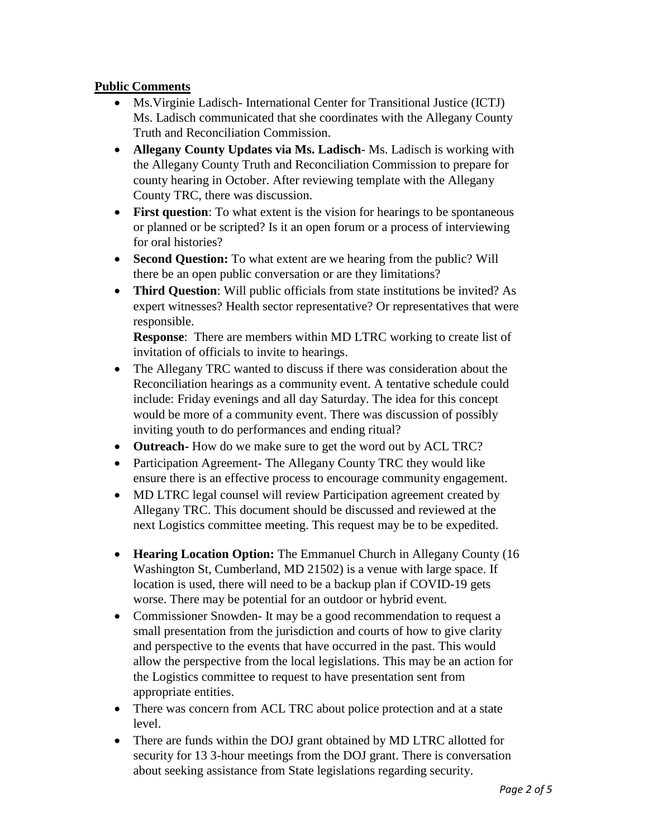### **Public Comments**

- Ms.Virginie Ladisch- International Center for Transitional Justice (ICTJ) Ms. Ladisch communicated that she coordinates with the Allegany County Truth and Reconciliation Commission.
- **Allegany County Updates via Ms. Ladisch** Ms. Ladisch is working with the Allegany County Truth and Reconciliation Commission to prepare for county hearing in October. After reviewing template with the Allegany County TRC, there was discussion.
- **First question**: To what extent is the vision for hearings to be spontaneous or planned or be scripted? Is it an open forum or a process of interviewing for oral histories?
- **Second Question:** To what extent are we hearing from the public? Will there be an open public conversation or are they limitations?
- **Third Question**: Will public officials from state institutions be invited? As expert witnesses? Health sector representative? Or representatives that were responsible.

**Response**: There are members within MD LTRC working to create list of invitation of officials to invite to hearings.

- The Allegany TRC wanted to discuss if there was consideration about the Reconciliation hearings as a community event. A tentative schedule could include: Friday evenings and all day Saturday. The idea for this concept would be more of a community event. There was discussion of possibly inviting youth to do performances and ending ritual?
- **Outreach-** How do we make sure to get the word out by ACL TRC?
- Participation Agreement- The Allegany County TRC they would like ensure there is an effective process to encourage community engagement.
- MD LTRC legal counsel will review Participation agreement created by Allegany TRC. This document should be discussed and reviewed at the next Logistics committee meeting. This request may be to be expedited.
- **Hearing Location Option:** The Emmanuel Church in Allegany County (16 Washington St, Cumberland, MD 21502) is a venue with large space. If location is used, there will need to be a backup plan if COVID-19 gets worse. There may be potential for an outdoor or hybrid event.
- Commissioner Snowden- It may be a good recommendation to request a small presentation from the jurisdiction and courts of how to give clarity and perspective to the events that have occurred in the past. This would allow the perspective from the local legislations. This may be an action for the Logistics committee to request to have presentation sent from appropriate entities.
- There was concern from ACL TRC about police protection and at a state level.
- There are funds within the DOJ grant obtained by MD LTRC allotted for security for 13 3-hour meetings from the DOJ grant. There is conversation about seeking assistance from State legislations regarding security.